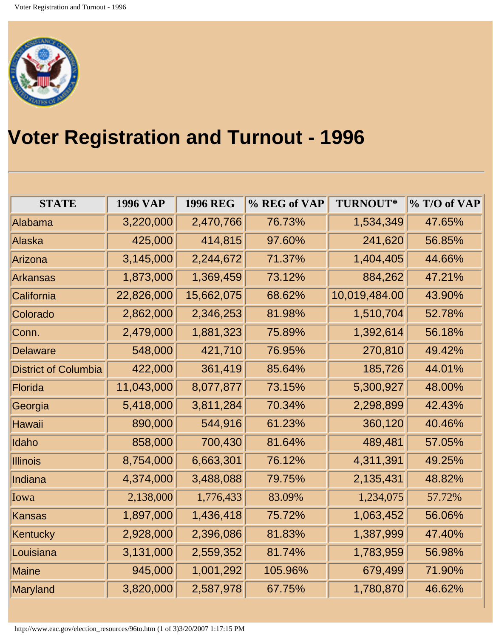

## **Voter Registration and Turnout - 1996**

| <b>STATE</b>                | <b>1996 VAP</b> | <b>1996 REG</b> | % REG of VAP | TURNOUT*      | % T/O of VAP |
|-----------------------------|-----------------|-----------------|--------------|---------------|--------------|
| Alabama                     | 3,220,000       | 2,470,766       | 76.73%       | 1,534,349     | 47.65%       |
| Alaska                      | 425,000         | 414,815         | 97.60%       | 241,620       | 56.85%       |
| Arizona                     | 3,145,000       | 2,244,672       | 71.37%       | 1,404,405     | 44.66%       |
| Arkansas                    | 1,873,000       | 1,369,459       | 73.12%       | 884,262       | 47.21%       |
| California                  | 22,826,000      | 15,662,075      | 68.62%       | 10,019,484.00 | 43.90%       |
| Colorado                    | 2,862,000       | 2,346,253       | 81.98%       | 1,510,704     | 52.78%       |
| Conn.                       | 2,479,000       | 1,881,323       | 75.89%       | 1,392,614     | 56.18%       |
| <b>Delaware</b>             | 548,000         | 421,710         | 76.95%       | 270,810       | 49.42%       |
| <b>District of Columbia</b> | 422,000         | 361,419         | 85.64%       | 185,726       | 44.01%       |
| Florida                     | 11,043,000      | 8,077,877       | 73.15%       | 5,300,927     | 48.00%       |
| Georgia                     | 5,418,000       | 3,811,284       | 70.34%       | 2,298,899     | 42.43%       |
| Hawaii                      | 890,000         | 544,916         | 61.23%       | 360,120       | 40.46%       |
| Idaho                       | 858,000         | 700,430         | 81.64%       | 489,481       | 57.05%       |
| <b>Illinois</b>             | 8,754,000       | 6,663,301       | 76.12%       | 4,311,391     | 49.25%       |
| Indiana                     | 4,374,000       | 3,488,088       | 79.75%       | 2,135,431     | 48.82%       |
| Iowa                        | 2,138,000       | 1,776,433       | 83.09%       | 1,234,075     | 57.72%       |
| Kansas                      | 1,897,000       | 1,436,418       | 75.72%       | 1,063,452     | 56.06%       |
| Kentucky                    | 2,928,000       | 2,396,086       | 81.83%       | 1,387,999     | 47.40%       |
| Louisiana                   | 3,131,000       | 2,559,352       | 81.74%       | 1,783,959     | 56.98%       |
| Maine                       | 945,000         | 1,001,292       | 105.96%      | 679,499       | 71.90%       |
| Maryland                    | 3,820,000       | 2,587,978       | 67.75%       | 1,780,870     | 46.62%       |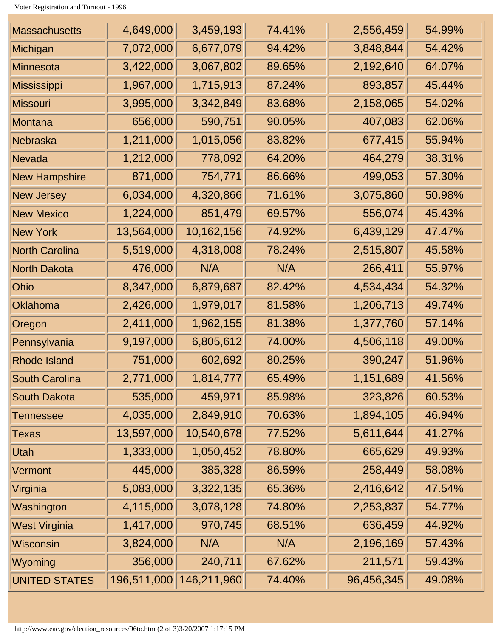Voter Registration and Turnout - 1996

| <b>Massachusetts</b>  | 4,649,000   | 3,459,193   | 74.41% | 2,556,459  | 54.99% |
|-----------------------|-------------|-------------|--------|------------|--------|
| Michigan              | 7,072,000   | 6,677,079   | 94.42% | 3,848,844  | 54.42% |
| <b>Minnesota</b>      | 3,422,000   | 3,067,802   | 89.65% | 2,192,640  | 64.07% |
| <b>Mississippi</b>    | 1,967,000   | 1,715,913   | 87.24% | 893,857    | 45.44% |
| <b>Missouri</b>       | 3,995,000   | 3,342,849   | 83.68% | 2,158,065  | 54.02% |
| Montana               | 656,000     | 590,751     | 90.05% | 407,083    | 62.06% |
| Nebraska              | 1,211,000   | 1,015,056   | 83.82% | 677,415    | 55.94% |
| Nevada                | 1,212,000   | 778,092     | 64.20% | 464,279    | 38.31% |
| <b>New Hampshire</b>  | 871,000     | 754,771     | 86.66% | 499,053    | 57.30% |
| <b>New Jersey</b>     | 6,034,000   | 4,320,866   | 71.61% | 3,075,860  | 50.98% |
| <b>New Mexico</b>     | 1,224,000   | 851,479     | 69.57% | 556,074    | 45.43% |
| <b>New York</b>       | 13,564,000  | 10,162,156  | 74.92% | 6,439,129  | 47.47% |
| <b>North Carolina</b> | 5,519,000   | 4,318,008   | 78.24% | 2,515,807  | 45.58% |
| <b>North Dakota</b>   | 476,000     | N/A         | N/A    | 266,411    | 55.97% |
| Ohio                  | 8,347,000   | 6,879,687   | 82.42% | 4,534,434  | 54.32% |
| Oklahoma              | 2,426,000   | 1,979,017   | 81.58% | 1,206,713  | 49.74% |
| Oregon                | 2,411,000   | 1,962,155   | 81.38% | 1,377,760  | 57.14% |
| Pennsylvania          | 9,197,000   | 6,805,612   | 74.00% | 4,506,118  | 49.00% |
| <b>Rhode Island</b>   | 751,000     | 602,692     | 80.25% | 390,247    | 51.96% |
| <b>South Carolina</b> | 2,771,000   | 1,814,777   | 65.49% | 1,151,689  | 41.56% |
| <b>South Dakota</b>   | 535,000     | 459,971     | 85.98% | 323,826    | 60.53% |
| Tennessee             | 4,035,000   | 2,849,910   | 70.63% | 1,894,105  | 46.94% |
| Texas                 | 13,597,000  | 10,540,678  | 77.52% | 5,611,644  | 41.27% |
| Utah                  | 1,333,000   | 1,050,452   | 78.80% | 665,629    | 49.93% |
| Vermont               | 445,000     | 385,328     | 86.59% | 258,449    | 58.08% |
| Virginia              | 5,083,000   | 3,322,135   | 65.36% | 2,416,642  | 47.54% |
| Washington            | 4,115,000   | 3,078,128   | 74.80% | 2,253,837  | 54.77% |
| <b>West Virginia</b>  | 1,417,000   | 970,745     | 68.51% | 636,459    | 44.92% |
| <b>Wisconsin</b>      | 3,824,000   | N/A         | N/A    | 2,196,169  | 57.43% |
| Wyoming               | 356,000     | 240,711     | 67.62% | 211,571    | 59.43% |
| UNITED STATES         | 196,511,000 | 146,211,960 | 74.40% | 96,456,345 | 49.08% |